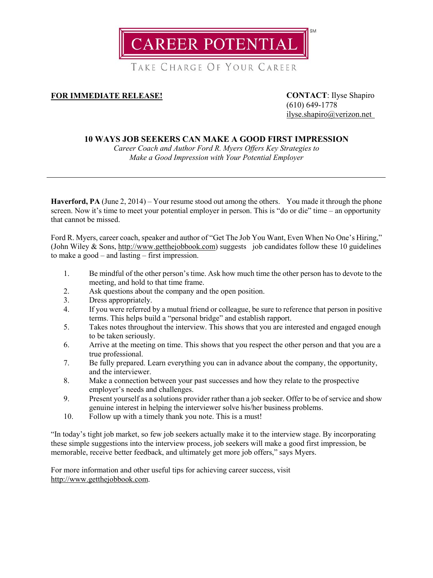

TAKE CHARGE OF YOUR CAREER

## **FOR IMMEDIATE RELEASE! CONTACT**: Ilyse Shapiro

(610) 649-1778 [ilyse.shapiro@verizon.net](mailto:ilyse.shapiro@verizon.net)

## **10 WAYS JOB SEEKERS CAN MAKE A GOOD FIRST IMPRESSION**

*Career Coach and Author Ford R. Myers Offers Key Strategies to Make a Good Impression with Your Potential Employer*

**Haverford, PA** (June 2, 2014) – Your resume stood out among the others. You made it through the phone screen. Now it's time to meet your potential employer in person. This is "do or die" time – an opportunity that cannot be missed.

Ford R. Myers, career coach, speaker and author of "Get The Job You Want, Even When No One's Hiring," (John Wiley  $&$  Sons, [http://www.getthejobbook.com\)](http://www.getthejobbook.com/) suggests job candidates follow these 10 guidelines to make a good – and lasting – first impression.

- 1. Be mindful of the other person's time. Ask how much time the other person has to devote to the meeting, and hold to that time frame.
- 2. Ask questions about the company and the open position.
- 3. Dress appropriately.
- 4. If you were referred by a mutual friend or colleague, be sure to reference that person in positive terms. This helps build a "personal bridge" and establish rapport.
- 5. Takes notes throughout the interview. This shows that you are interested and engaged enough to be taken seriously.
- 6. Arrive at the meeting on time. This shows that you respect the other person and that you are a true professional.
- 7. Be fully prepared. Learn everything you can in advance about the company, the opportunity, and the interviewer.
- 8. Make a connection between your past successes and how they relate to the prospective employer's needs and challenges.
- 9. Present yourself as a solutions provider rather than a job seeker. Offer to be of service and show genuine interest in helping the interviewer solve his/her business problems.
- 10. Follow up with a timely thank you note. This is a must!

"In today's tight job market, so few job seekers actually make it to the interview stage. By incorporating these simple suggestions into the interview process, job seekers will make a good first impression, be memorable, receive better feedback, and ultimately get more job offers," says Myers.

For more information and other useful tips for achieving career success, visit [http://www.getthejobbook.com.](http://www.getthejobbook.com/)